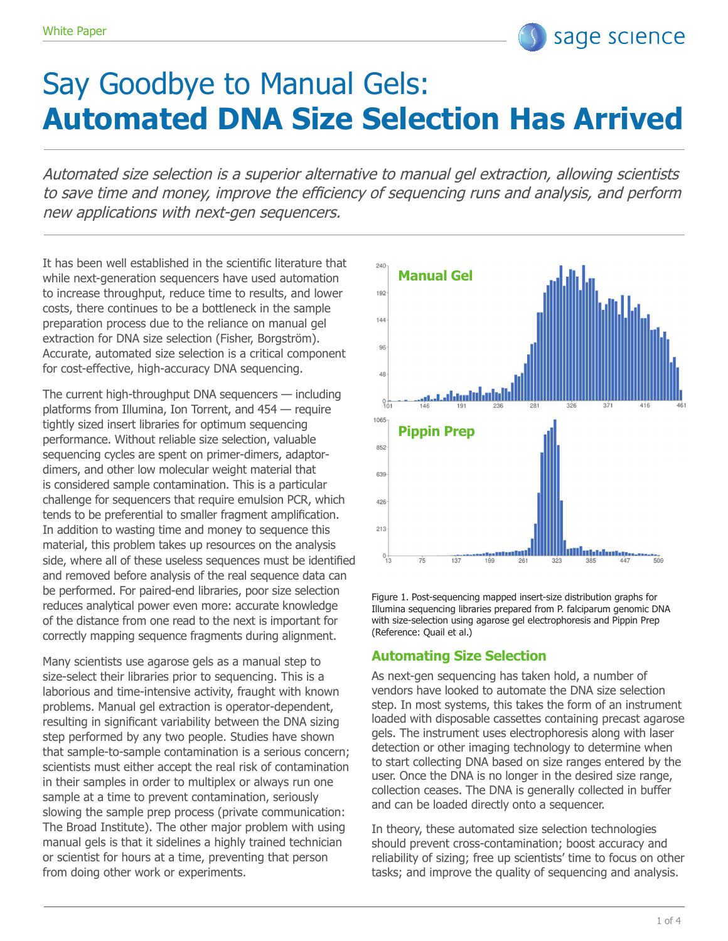# Say Goodbye to Manual Gels: **Automated DNA Size Selection Has Arrived**

Automated size selection is a superior alternative to manual gel extraction, allowing scientists to save time and money, improve the efficiency of sequencing runs and analysis, and perform new applications with next-gen sequencers.

It has been well established in the scientific literature that while next-generation sequencers have used automation to increase throughput, reduce time to results, and lower costs, there continues to be a bottleneck in the sample preparation process due to the reliance on manual gel extraction for DNA size selection (Fisher, Borgström). Accurate, automated size selection is a critical component for cost-effective, high-accuracy DNA sequencing.

The current high-throughput DNA sequencers — including platforms from Illumina, Ion Torrent, and 454 — require tightly sized insert libraries for optimum sequencing performance. Without reliable size selection, valuable sequencing cycles are spent on primer-dimers, adaptordimers, and other low molecular weight material that is considered sample contamination. This is a particular challenge for sequencers that require emulsion PCR, which tends to be preferential to smaller fragment amplification. In addition to wasting time and money to sequence this material, this problem takes up resources on the analysis side, where all of these useless sequences must be identified and removed before analysis of the real sequence data can be performed. For paired-end libraries, poor size selection reduces analytical power even more: accurate knowledge of the distance from one read to the next is important for correctly mapping sequence fragments during alignment.

Many scientists use agarose gels as a manual step to size-select their libraries prior to sequencing. This is a laborious and time-intensive activity, fraught with known problems. Manual gel extraction is operator-dependent, resulting in significant variability between the DNA sizing step performed by any two people. Studies have shown that sample-to-sample contamination is a serious concern; scientists must either accept the real risk of contamination in their samples in order to multiplex or always run one sample at a time to prevent contamination, seriously slowing the sample prep process (private communication: The Broad Institute). The other major problem with using manual gels is that it sidelines a highly trained technician or scientist for hours at a time, preventing that person from doing other work or experiments.



sage science

Figure 1. Post-sequencing mapped insert-size distribution graphs for Illumina sequencing libraries prepared from P. falciparum genomic DNA with size-selection using agarose gel electrophoresis and Pippin Prep (Reference: Quail et al.)

### **Automating Size Selection**

As next-gen sequencing has taken hold, a number of vendors have looked to automate the DNA size selection step. In most systems, this takes the form of an instrument loaded with disposable cassettes containing precast agarose gels. The instrument uses electrophoresis along with laser detection or other imaging technology to determine when to start collecting DNA based on size ranges entered by the user. Once the DNA is no longer in the desired size range, collection ceases. The DNA is generally collected in buffer and can be loaded directly onto a sequencer.

In theory, these automated size selection technologies should prevent cross-contamination; boost accuracy and reliability of sizing; free up scientists' time to focus on other tasks; and improve the quality of sequencing and analysis.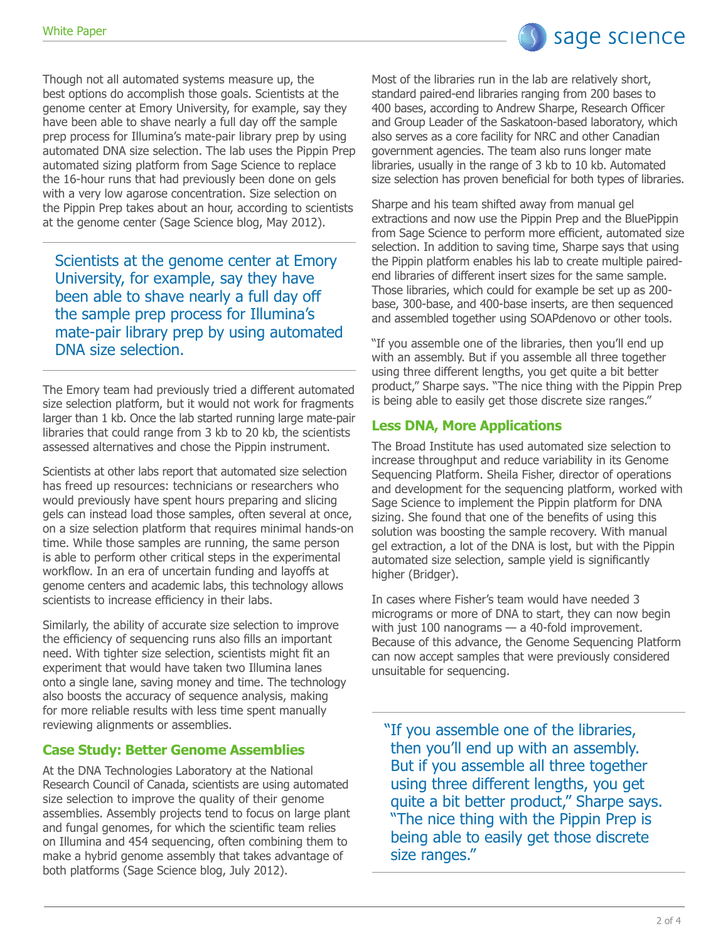sage science

Though not all automated systems measure up, the best options do accomplish those goals. Scientists at the genome center at Emory University, for example, say they have been able to shave nearly a full day off the sample prep process for Illumina's mate-pair library prep by using automated DNA size selection. The lab uses the Pippin Prep automated sizing platform from Sage Science to replace the 16-hour runs that had previously been done on gels with a very low agarose concentration. Size selection on the Pippin Prep takes about an hour, according to scientists at the genome center (Sage Science blog, May 2012).

Scientists at the genome center at Emory University, for example, say they have been able to shave nearly a full day off the sample prep process for Illumina's mate-pair library prep by using automated DNA size selection.

The Emory team had previously tried a different automated size selection platform, but it would not work for fragments larger than 1 kb. Once the lab started running large mate-pair libraries that could range from 3 kb to 20 kb, the scientists assessed alternatives and chose the Pippin instrument.

Scientists at other labs report that automated size selection has freed up resources: technicians or researchers who would previously have spent hours preparing and slicing gels can instead load those samples, often several at once, on a size selection platform that requires minimal hands-on time. While those samples are running, the same person is able to perform other critical steps in the experimental workflow. In an era of uncertain funding and layoffs at genome centers and academic labs, this technology allows scientists to increase efficiency in their labs.

Similarly, the ability of accurate size selection to improve the efficiency of sequencing runs also fills an important need. With tighter size selection, scientists might fit an experiment that would have taken two Illumina lanes onto a single lane, saving money and time. The technology also boosts the accuracy of sequence analysis, making for more reliable results with less time spent manually reviewing alignments or assemblies.

## **Case Study: Better Genome Assemblies**

At the DNA Technologies Laboratory at the National Research Council of Canada, scientists are using automated size selection to improve the quality of their genome assemblies. Assembly projects tend to focus on large plant and fungal genomes, for which the scientific team relies on Illumina and 454 sequencing, often combining them to make a hybrid genome assembly that takes advantage of both platforms (Sage Science blog, July 2012).

Most of the libraries run in the lab are relatively short, standard paired-end libraries ranging from 200 bases to 400 bases, according to Andrew Sharpe, Research Officer and Group Leader of the Saskatoon-based laboratory, which also serves as a core facility for NRC and other Canadian government agencies. The team also runs longer mate libraries, usually in the range of 3 kb to 10 kb. Automated size selection has proven beneficial for both types of libraries.

Sharpe and his team shifted away from manual gel extractions and now use the Pippin Prep and the BluePippin from Sage Science to perform more efficient, automated size selection. In addition to saving time, Sharpe says that using the Pippin platform enables his lab to create multiple pairedend libraries of different insert sizes for the same sample. Those libraries, which could for example be set up as 200 base, 300-base, and 400-base inserts, are then sequenced and assembled together using SOAPdenovo or other tools.

"If you assemble one of the libraries, then you'll end up with an assembly. But if you assemble all three together using three different lengths, you get quite a bit better product," Sharpe says. "The nice thing with the Pippin Prep is being able to easily get those discrete size ranges."

## **Less DNA, More Applications**

The Broad Institute has used automated size selection to increase throughput and reduce variability in its Genome Sequencing Platform. Sheila Fisher, director of operations and development for the sequencing platform, worked with Sage Science to implement the Pippin platform for DNA sizing. She found that one of the benefits of using this solution was boosting the sample recovery. With manual gel extraction, a lot of the DNA is lost, but with the Pippin automated size selection, sample yield is significantly higher (Bridger).

In cases where Fisher's team would have needed 3 micrograms or more of DNA to start, they can now begin with just 100 nanograms - a 40-fold improvement. Because of this advance, the Genome Sequencing Platform can now accept samples that were previously considered unsuitable for sequencing.

"If you assemble one of the libraries, then you'll end up with an assembly. But if you assemble all three together using three different lengths, you get quite a bit better product," Sharpe says. "The nice thing with the Pippin Prep is being able to easily get those discrete size ranges."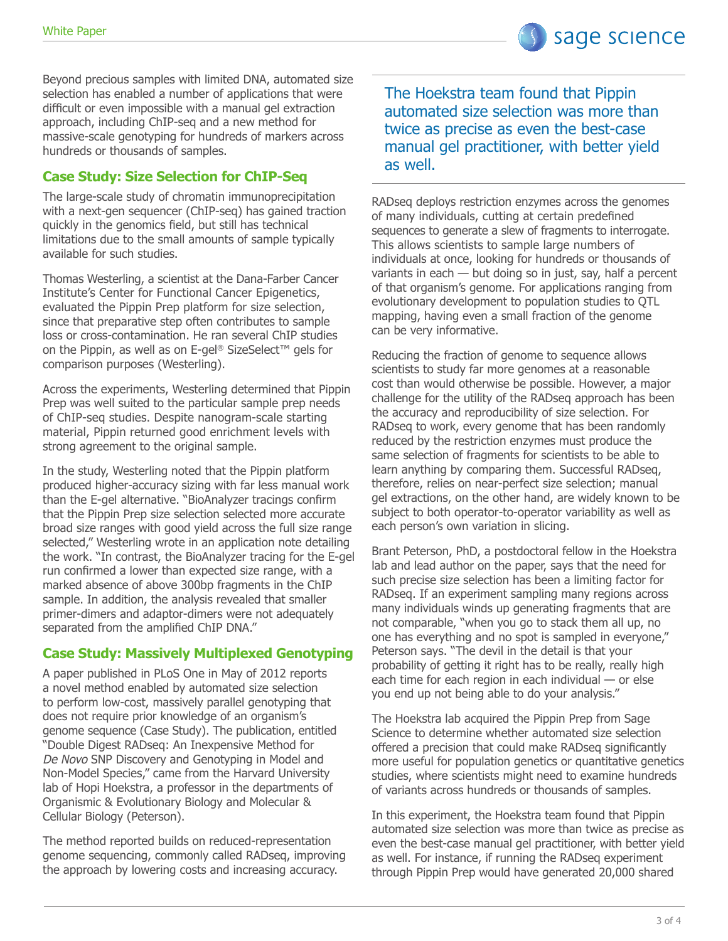Beyond precious samples with limited DNA, automated size selection has enabled a number of applications that were difficult or even impossible with a manual gel extraction approach, including ChIP-seq and a new method for massive-scale genotyping for hundreds of markers across hundreds or thousands of samples.

## **Case Study: Size Selection for ChIP-Seq**

The large-scale study of chromatin immunoprecipitation with a next-gen sequencer (ChIP-seq) has gained traction quickly in the genomics field, but still has technical limitations due to the small amounts of sample typically available for such studies.

Thomas Westerling, a scientist at the Dana-Farber Cancer Institute's Center for Functional Cancer Epigenetics, evaluated the Pippin Prep platform for size selection, since that preparative step often contributes to sample loss or cross-contamination. He ran several ChIP studies on the Pippin, as well as on E-gel® SizeSelect™ gels for comparison purposes (Westerling).

Across the experiments, Westerling determined that Pippin Prep was well suited to the particular sample prep needs of ChIP-seq studies. Despite nanogram-scale starting material, Pippin returned good enrichment levels with strong agreement to the original sample.

In the study, Westerling noted that the Pippin platform produced higher-accuracy sizing with far less manual work than the E-gel alternative. "BioAnalyzer tracings confirm that the Pippin Prep size selection selected more accurate broad size ranges with good yield across the full size range selected," Westerling wrote in an application note detailing the work. "In contrast, the BioAnalyzer tracing for the E-gel run confirmed a lower than expected size range, with a marked absence of above 300bp fragments in the ChIP sample. In addition, the analysis revealed that smaller primer-dimers and adaptor-dimers were not adequately separated from the amplified ChIP DNA."

## **Case Study: Massively Multiplexed Genotyping**

A paper published in PLoS One in May of 2012 reports a novel method enabled by automated size selection to perform low-cost, massively parallel genotyping that does not require prior knowledge of an organism's genome sequence (Case Study). The publication, entitled "Double Digest RADseq: An Inexpensive Method for De Novo SNP Discovery and Genotyping in Model and Non-Model Species," came from the Harvard University lab of Hopi Hoekstra, a professor in the departments of Organismic & Evolutionary Biology and Molecular & Cellular Biology (Peterson).

The method reported builds on reduced-representation genome sequencing, commonly called RADseq, improving the approach by lowering costs and increasing accuracy.

The Hoekstra team found that Pippin automated size selection was more than twice as precise as even the best-case manual gel practitioner, with better yield as well.

RADseq deploys restriction enzymes across the genomes of many individuals, cutting at certain predefined sequences to generate a slew of fragments to interrogate. This allows scientists to sample large numbers of individuals at once, looking for hundreds or thousands of variants in each — but doing so in just, say, half a percent of that organism's genome. For applications ranging from evolutionary development to population studies to QTL mapping, having even a small fraction of the genome can be very informative.

Reducing the fraction of genome to sequence allows scientists to study far more genomes at a reasonable cost than would otherwise be possible. However, a major challenge for the utility of the RADseq approach has been the accuracy and reproducibility of size selection. For RADseq to work, every genome that has been randomly reduced by the restriction enzymes must produce the same selection of fragments for scientists to be able to learn anything by comparing them. Successful RADseq, therefore, relies on near-perfect size selection; manual gel extractions, on the other hand, are widely known to be subject to both operator-to-operator variability as well as each person's own variation in slicing.

Brant Peterson, PhD, a postdoctoral fellow in the Hoekstra lab and lead author on the paper, says that the need for such precise size selection has been a limiting factor for RADseq. If an experiment sampling many regions across many individuals winds up generating fragments that are not comparable, "when you go to stack them all up, no one has everything and no spot is sampled in everyone," Peterson says. "The devil in the detail is that your probability of getting it right has to be really, really high each time for each region in each individual — or else you end up not being able to do your analysis."

The Hoekstra lab acquired the Pippin Prep from Sage Science to determine whether automated size selection offered a precision that could make RADseq significantly more useful for population genetics or quantitative genetics studies, where scientists might need to examine hundreds of variants across hundreds or thousands of samples.

In this experiment, the Hoekstra team found that Pippin automated size selection was more than twice as precise as even the best-case manual gel practitioner, with better yield as well. For instance, if running the RADseq experiment through Pippin Prep would have generated 20,000 shared